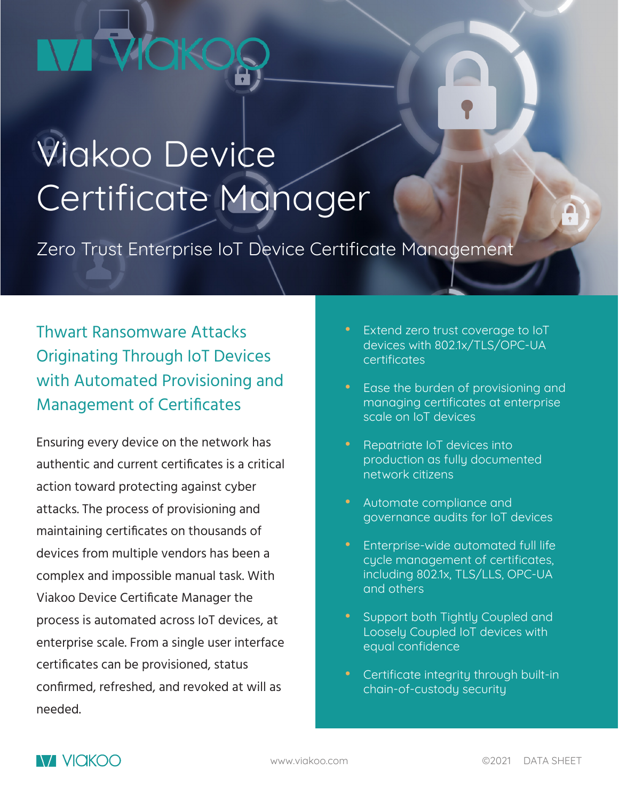# **UOKC**

# Viakoo Device Certificate Manager

Zero Trust Enterprise IoT Device Certificate Management

Thwart Ransomware Attacks Originating Through IoT Devices with Automated Provisioning and Management of Certificates

Ensuring every device on the network has authentic and current certificates is a critical action toward protecting against cyber attacks. The process of provisioning and maintaining certificates on thousands of devices from multiple vendors has been a complex and impossible manual task. With Viakoo Device Certificate Manager the process is automated across IoT devices, at enterprise scale. From a single user interface certificates can be provisioned, status confirmed, refreshed, and revoked at will as needed.

- Extend zero trust coverage to IoT devices with 802.1x/TLS/OPC-UA certificates
- Ease the burden of provisioning and managing certificates at enterprise scale on IoT devices
- Repatriate IoT devices into production as fully documented network citizens
- Automate compliance and governance audits for IoT devices
- Enterprise-wide automated full life cycle management of certificates, including 802.1x, TLS/LLS, OPC-UA and others
- Support both Tightly Coupled and Loosely Coupled IoT devices with equal confidence
- Certificate integrity through built-in chain-of-custody security

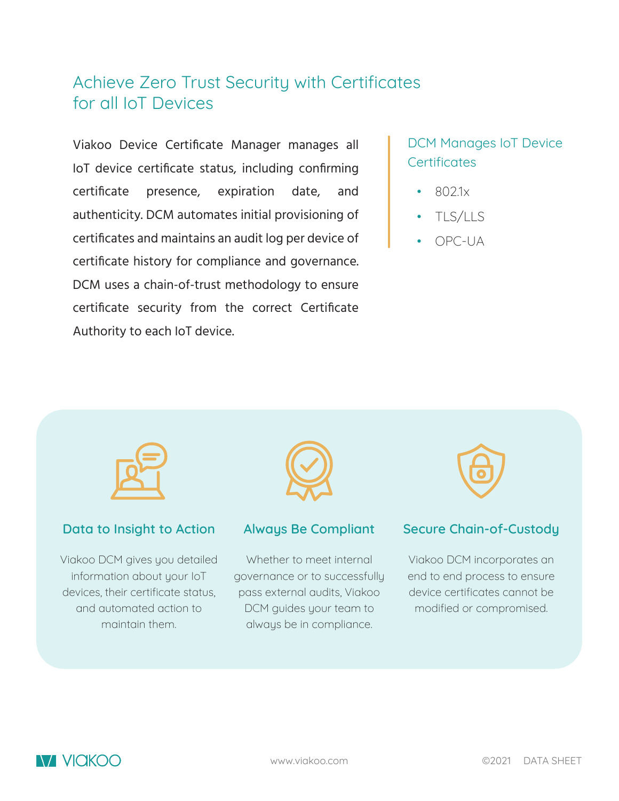# Achieve Zero Trust Security with Certificates for all IoT Devices

Viakoo Device Certificate Manager manages all IoT device certificate status, including confirming certificate presence, expiration date, and authenticity. DCM automates initial provisioning of certificates and maintains an audit log per device of certificate history for compliance and governance. DCM uses a chain-of-trust methodology to ensure certificate security from the correct Certificate Authority to each IoT device.

### DCM Manages IoT Device **Certificates**

- 802.1x
- TLS/LLS
- OPC-UA



#### **Data to Insight to Action**

Viakoo DCM gives you detailed information about your IoT devices, their certificate status, and automated action to maintain them.



#### **Always Be Compliant**

Whether to meet internal governance or to successfully pass external audits, Viakoo DCM guides your team to always be in compliance.



#### **Secure Chain-of-Custody**

Viakoo DCM incorporates an end to end process to ensure device certificates cannot be modified or compromised.

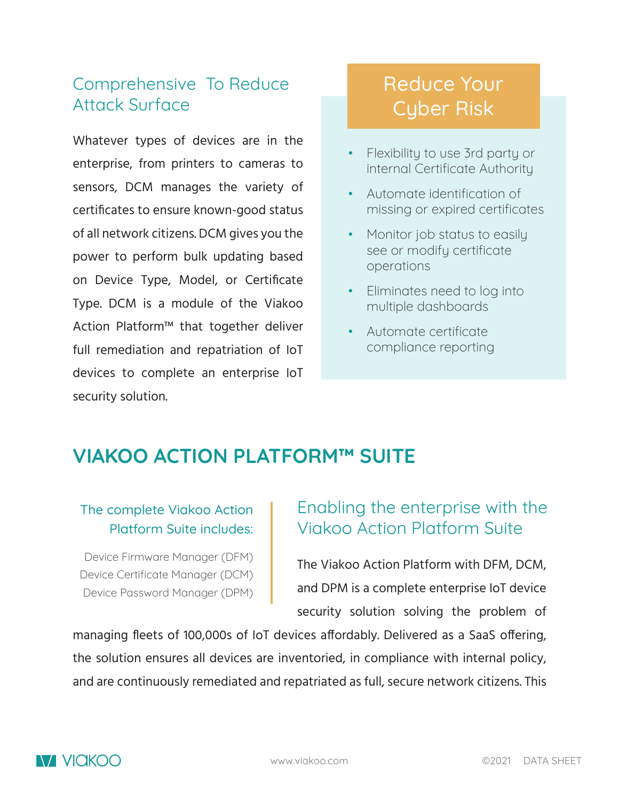# Comprehensive To Reduce Attack Surface

Whatever types of devices are in the enterprise, from printers to cameras to sensors, DCM manages the variety of certificates to ensure known-good status of all network citizens. DCM gives you the power to perform bulk updating based on Device Type, Model, or Certificate Type. DCM is a module of the Viakoo Action Platform™ that together deliver full remediation and repatriation of IoT devices to complete an enterprise IoT security solution.

# Reduce Your Cyber Risk

- Flexibility to use 3rd party or internal Certificate Authority
- Automate identification of missing or expired certificates
- Monitor job status to easily see or modify certificate operations
- Eliminates need to log into multiple dashboards
- Automate certificate compliance reporting

# **VIAKOO ACTION PLATFORM™ SUITE**

#### The complete Viakoo Action Platform Suite includes:

Device Firmware Manager (DFM) Device Certificate Manager (DCM) Device Password Manager (DPM)

# Enabling the enterprise with the Viakoo Action Platform Suite

The Viakoo Action Platform with DFM, DCM, and DPM is a complete enterprise IoT device security solution solving the problem of

managing fleets of 100,000s of IoT devices affordably. Delivered as a SaaS offering, the solution ensures all devices are inventoried, in compliance with internal policy, and are continuously remediated and repatriated as full, secure network citizens. This

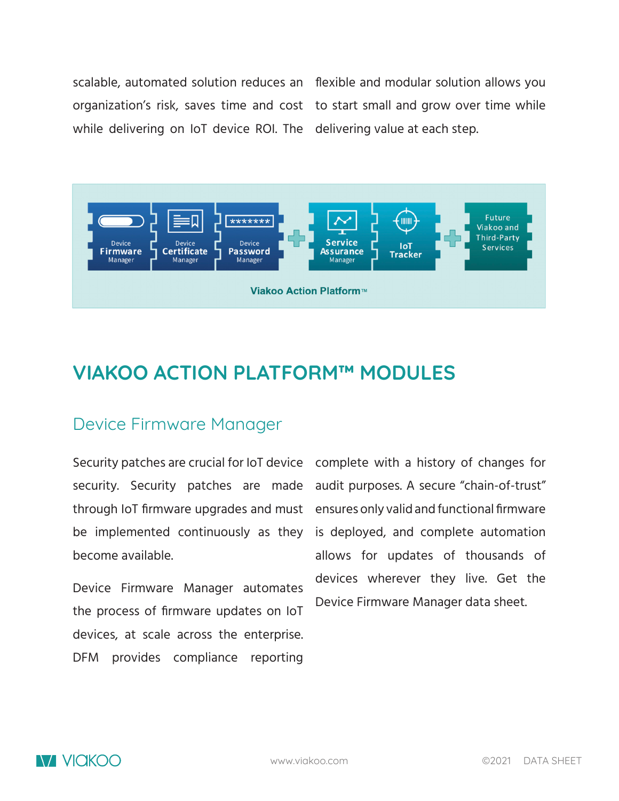while delivering on IoT device ROI. The delivering value at each step.

scalable, automated solution reduces an flexible and modular solution allows you organization's risk, saves time and cost to start small and grow over time while



# **VIAKOO ACTION PLATFORM™ MODULES**

#### Device Firmware Manager

security. Security patches are made through IoT firmware upgrades and must be implemented continuously as they become available.

Device Firmware Manager automates the process of firmware updates on IoT devices, at scale across the enterprise. DFM provides compliance reporting

Security patches are crucial for IoT device complete with a history of changes for audit purposes. A secure "chain-of-trust" ensures only valid and functional firmware is deployed, and complete automation allows for updates of thousands of devices wherever they live. Get the Device Firmware Manager data sheet.